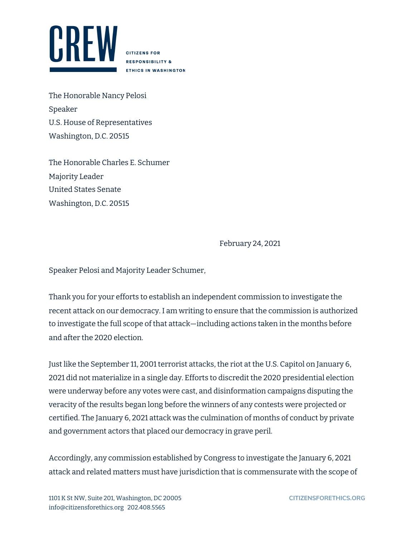

**CITIZENS FOR RESPONSIBILITY & ETHICS IN WASHINGTON** 

The Honorable Nancy Pelosi Speaker U.S. House of Representatives Washington, D.C. 20515

The Honorable Charles E. Schumer Majority Leader United States Senate Washington, D.C. 20515

February 24, 2021

Speaker Pelosi and Majority Leader Schumer,

Thank you for your efforts to establish an independent commission to investigate the recent attack on our democracy. I am writing to ensure that the commission is authorized to investigate the full scope of that attack—including actions taken in the months before and after the 2020 election.

Just like the September 11, 2001 terrorist attacks, the riot at the U.S. Capitol on January 6, 2021 did not materialize in a single day. Efforts to discredit the 2020 presidential election were underway before any votes were cast, and disinformation campaigns disputing the veracity of the results began long before the winners of any contests were projected or certified. The January 6, 2021 attack was the culmination of months of conduct by private and government actors that placed our democracy in grave peril.

Accordingly, any commission established by Congress to investigate the January 6, 2021 attack and related matters must have jurisdiction that is commensurate with the scope of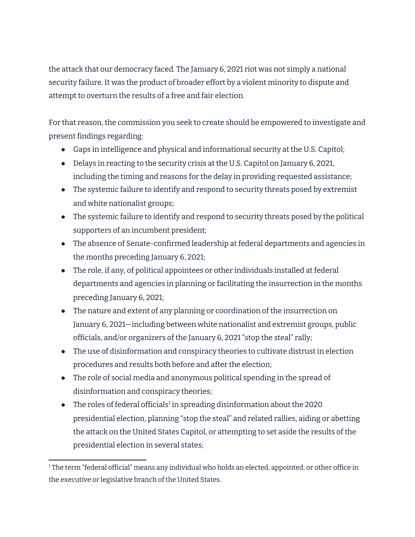the attack that our democracy faced. The January 6, 2021 riot was not simply a national security failure. It was the product of broader effort by a violent minority to dispute and attempt to overturn the results of a free and fair election.

For that reason, the commission you seek to create should be empowered to investigate and present findings regarding:

- Gaps in intelligence and physical and informational security at the U.S. Capitol;
- Delays in reacting to the security crisis at the U.S. Capitol on January 6, 2021, including the timing and reasons for the delay in providing requested assistance;
- The systemic failure to identify and respond to security threats posed by extremist and white nationalist groups;
- The systemic failure to identify and respond to security threats posed by the political supporters of an incumbent president;
- The absence of Senate-confirmed leadership at federal departments and agencies in the months preceding January 6, 2021;
- The role, if any, of political appointees or other individuals installed at federal departments and agencies in planning or facilitating the insurrection in the months preceding January 6, 2021;
- The nature and extent of any planning or coordination of the insurrection on January 6, 2021—including between white nationalist and extremist groups, public officials, and/or organizers of the January 6, 2021 "stop the steal" rally;
- The use of disinformation and conspiracy theories to cultivate distrust in election procedures and results both before and after the election;
- The role of social media and anonymous political spending in the spread of disinformation and conspiracy theories;
- The roles of federal officials<sup>1</sup> in spreading disinformation about the 2020 presidential election, planning "stop the steal" and related rallies, aiding or abetting the attack on the United States Capitol, or attempting to set aside the results of the presidential election in several states;

<sup>&</sup>lt;sup>1</sup> The term "federal official" means any individual who holds an elected, appointed, or other office in the executive or legislative branch of the United States.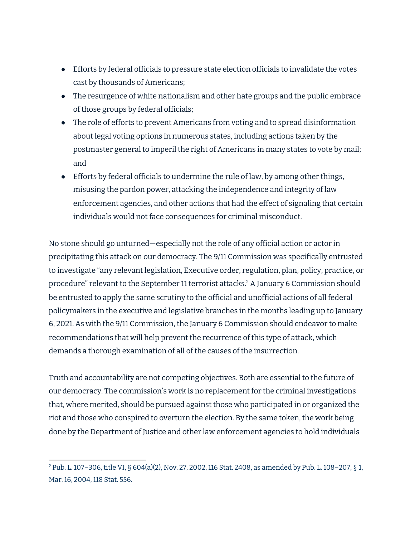- Efforts by federal officials to pressure state election officials to invalidate the votes cast by thousands of Americans;
- The resurgence of white nationalism and other hate groups and the public embrace of those groups by federal officials;
- The role of efforts to prevent Americans from voting and to spread disinformation about legal voting options in numerous states, including actions taken by the postmaster general to imperil the right of Americans in many states to vote by mail; and
- Efforts by federal officials to undermine the rule of law, by among other things, misusing the pardon power, attacking the independence and integrity of law enforcement agencies, and other actions that had the effect of signaling that certain individuals would not face consequences for criminal misconduct.

No stone should go unturned—especially not the role of any official action or actor in precipitating this attack on our democracy. The 9/11 Commission was specifically entrusted to investigate "any relevant legislation, Executive order, regulation, plan, policy, practice, or procedure" relevant to the September 11 terrorist attacks. <sup>2</sup> A January 6 Commission should be entrusted to apply the same scrutiny to the official and unofficial actions of all federal policymakers in the executive and legislative branches in the months leading up to January 6, 2021. As with the 9/11 Commission, the January 6 Commission should endeavor to make recommendations that will help prevent the recurrence of this type of attack, which demands a thorough examination of all of the causes of the insurrection.

Truth and accountability are not competing objectives. Both are essential to the future of our democracy. The commission's work is no replacement for the criminal investigations that, where merited, should be pursued against those who participated in or organized the riot and those who conspired to overturn the election. By the same token, the work being done by the Department of Justice and other law enforcement agencies to hold individuals

<sup>2</sup> Pub. L. 107–306, title VI, § 604(a)(2), Nov. 27, 2002, 116 Stat. 2408, as amended by Pub. L. 108–207, § 1, Mar. 16, 2004, 118 Stat. 556.